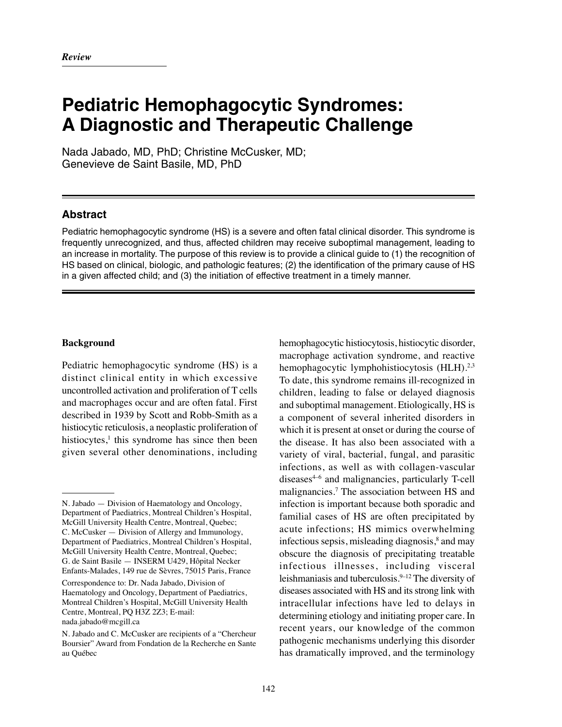# **Pediatric Hemophagocytic Syndromes: A Diagnostic and Therapeutic Challenge**

Nada Jabado, MD, PhD; Christine McCusker, MD; Genevieve de Saint Basile, MD, PhD

# **Abstract**

Pediatric hemophagocytic syndrome (HS) is a severe and often fatal clinical disorder. This syndrome is frequently unrecognized, and thus, affected children may receive suboptimal management, leading to an increase in mortality. The purpose of this review is to provide a clinical guide to (1) the recognition of HS based on clinical, biologic, and pathologic features; (2) the identification of the primary cause of HS in a given affected child; and (3) the initiation of effective treatment in a timely manner.

# **Background**

Pediatric hemophagocytic syndrome (HS) is a distinct clinical entity in which excessive uncontrolled activation and proliferation of T cells and macrophages occur and are often fatal. First described in 1939 by Scott and Robb-Smith as a histiocytic reticulosis, a neoplastic proliferation of histiocytes, $\frac{1}{1}$  this syndrome has since then been given several other denominations, including

Correspondence to: Dr. Nada Jabado, Division of Haematology and Oncology, Department of Paediatrics, Montreal Children's Hospital, McGill University Health Centre, Montreal, PQ H3Z 2Z3; E-mail: nada.jabado@mcgill.ca

hemophagocytic histiocytosis, histiocytic disorder, macrophage activation syndrome, and reactive hemophagocytic lymphohistiocytosis (HLH).<sup>2,3</sup> To date, this syndrome remains ill-recognized in children, leading to false or delayed diagnosis and suboptimal management. Etiologically, HS is a component of several inherited disorders in which it is present at onset or during the course of the disease. It has also been associated with a variety of viral, bacterial, fungal, and parasitic infections, as well as with collagen-vascular  $diseases<sup>4–6</sup>$  and malignancies, particularly T-cell malignancies.7 The association between HS and infection is important because both sporadic and familial cases of HS are often precipitated by acute infections; HS mimics overwhelming infectious sepsis, misleading diagnosis, $\frac{8}{3}$  and may obscure the diagnosis of precipitating treatable infectious illnesses, including visceral leishmaniasis and tuberculosis.9–12 The diversity of diseases associated with HS and its strong link with intracellular infections have led to delays in determining etiology and initiating proper care. In recent years, our knowledge of the common pathogenic mechanisms underlying this disorder has dramatically improved, and the terminology

N. Jabado — Division of Haematology and Oncology, Department of Paediatrics, Montreal Children's Hospital, McGill University Health Centre, Montreal, Quebec; C. McCusker — Division of Allergy and Immunology, Department of Paediatrics, Montreal Children's Hospital, McGill University Health Centre, Montreal, Quebec; G. de Saint Basile — INSERM U429, Hôpital Necker Enfants-Malades, 149 rue de Sèvres, 75015 Paris, France

N. Jabado and C. McCusker are recipients of a "Chercheur Boursier" Award from Fondation de la Recherche en Sante au Québec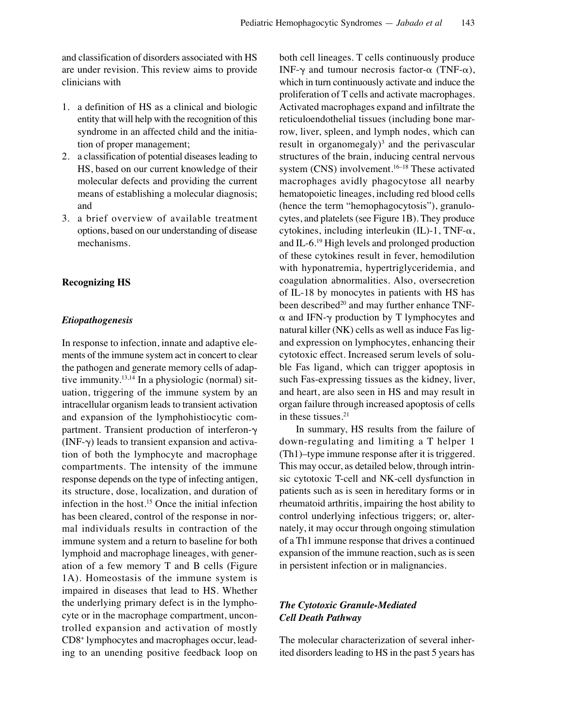and classification of disorders associated with HS are under revision. This review aims to provide clinicians with

- 1. a definition of HS as a clinical and biologic entity that will help with the recognition of this syndrome in an affected child and the initiation of proper management;
- 2. a classification of potential diseases leading to HS, based on our current knowledge of their molecular defects and providing the current means of establishing a molecular diagnosis; and
- 3. a brief overview of available treatment options, based on our understanding of disease mechanisms.

# **Recognizing HS**

#### *Etiopathogenesis*

In response to infection, innate and adaptive elements of the immune system act in concert to clear the pathogen and generate memory cells of adaptive immunity.13,14 In a physiologic (normal) situation, triggering of the immune system by an intracellular organism leads to transient activation and expansion of the lymphohistiocytic compartment. Transient production of interferon- $\gamma$  $(INF-\gamma)$  leads to transient expansion and activation of both the lymphocyte and macrophage compartments. The intensity of the immune response depends on the type of infecting antigen, its structure, dose, localization, and duration of infection in the host.15 Once the initial infection has been cleared, control of the response in normal individuals results in contraction of the immune system and a return to baseline for both lymphoid and macrophage lineages, with generation of a few memory T and B cells (Figure 1A). Homeostasis of the immune system is impaired in diseases that lead to HS. Whether the underlying primary defect is in the lymphocyte or in the macrophage compartment, uncontrolled expansion and activation of mostly CD8+ lymphocytes and macrophages occur, leading to an unending positive feedback loop on both cell lineages. T cells continuously produce INF- $\gamma$  and tumour necrosis factor- $\alpha$  (TNF- $\alpha$ ), which in turn continuously activate and induce the proliferation of T cells and activate macrophages. Activated macrophages expand and infiltrate the reticuloendothelial tissues (including bone marrow, liver, spleen, and lymph nodes, which can result in organomegaly $)^3$  and the perivascular structures of the brain, inducing central nervous system (CNS) involvement.<sup>16–18</sup> These activated macrophages avidly phagocytose all nearby hematopoietic lineages, including red blood cells (hence the term "hemophagocytosis"), granulocytes, and platelets (see Figure 1B). They produce cytokines, including interleukin (IL)-1, TNF- $\alpha$ , and IL-6.19 High levels and prolonged production of these cytokines result in fever, hemodilution with hyponatremia, hypertriglyceridemia, and coagulation abnormalities. Also, oversecretion of IL-18 by monocytes in patients with HS has been described<sup>20</sup> and may further enhance TNF- $\alpha$  and IFN- $\gamma$  production by T lymphocytes and natural killer (NK) cells as well as induce Fas ligand expression on lymphocytes, enhancing their cytotoxic effect. Increased serum levels of soluble Fas ligand, which can trigger apoptosis in such Fas-expressing tissues as the kidney, liver, and heart, are also seen in HS and may result in organ failure through increased apoptosis of cells in these tissues. $21$ 

In summary, HS results from the failure of down-regulating and limiting a T helper 1 (Th1)–type immune response after it is triggered. This may occur, as detailed below, through intrinsic cytotoxic T-cell and NK-cell dysfunction in patients such as is seen in hereditary forms or in rheumatoid arthritis, impairing the host ability to control underlying infectious triggers; or, alternately, it may occur through ongoing stimulation of a Th1 immune response that drives a continued expansion of the immune reaction, such as is seen in persistent infection or in malignancies.

# *The Cytotoxic Granule-Mediated Cell Death Pathway*

The molecular characterization of several inherited disorders leading to HS in the past 5 years has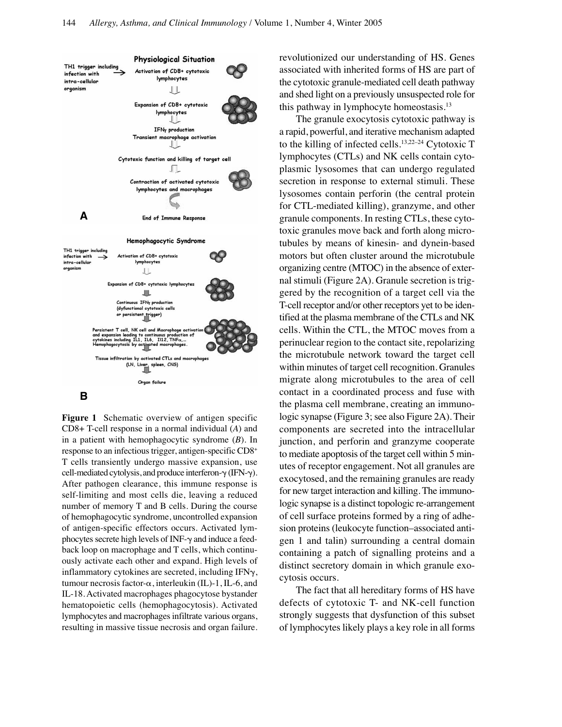

**Figure 1** Schematic overview of antigen specific CD8+ T-cell response in a normal individual (*A*) and in a patient with hemophagocytic syndrome (*B*). In response to an infectious trigger, antigen-specific CD8+ T cells transiently undergo massive expansion, use cell-mediated cytolysis, and produce interferon- $\gamma$  (IFN- $\gamma$ ). After pathogen clearance, this immune response is self-limiting and most cells die, leaving a reduced number of memory T and B cells. During the course of hemophagocytic syndrome, uncontrolled expansion of antigen-specific effectors occurs. Activated lymphocytes secrete high levels of INF- $\gamma$  and induce a feedback loop on macrophage and T cells, which continuously activate each other and expand. High levels of inflammatory cytokines are secreted, including IFN $\gamma$ , tumour necrosis factor- $\alpha$ , interleukin (IL)-1, IL-6, and IL-18. Activated macrophages phagocytose bystander hematopoietic cells (hemophagocytosis). Activated lymphocytes and macrophages infiltrate various organs, resulting in massive tissue necrosis and organ failure.

revolutionized our understanding of HS. Genes associated with inherited forms of HS are part of the cytotoxic granule-mediated cell death pathway and shed light on a previously unsuspected role for this pathway in lymphocyte homeostasis.13

The granule exocytosis cytotoxic pathway is a rapid, powerful, and iterative mechanism adapted to the killing of infected cells.<sup>13,22-24</sup> Cytotoxic T lymphocytes (CTLs) and NK cells contain cytoplasmic lysosomes that can undergo regulated secretion in response to external stimuli. These lysosomes contain perforin (the central protein for CTL-mediated killing), granzyme, and other granule components. In resting CTLs, these cytotoxic granules move back and forth along microtubules by means of kinesin- and dynein-based motors but often cluster around the microtubule organizing centre (MTOC) in the absence of external stimuli (Figure 2A). Granule secretion is triggered by the recognition of a target cell via the T-cell receptor and/or other receptors yet to be identified at the plasma membrane of the CTLs and NK cells. Within the CTL, the MTOC moves from a perinuclear region to the contact site, repolarizing the microtubule network toward the target cell within minutes of target cell recognition. Granules migrate along microtubules to the area of cell contact in a coordinated process and fuse with the plasma cell membrane, creating an immunologic synapse (Figure 3; see also Figure 2A). Their components are secreted into the intracellular junction, and perforin and granzyme cooperate to mediate apoptosis of the target cell within 5 minutes of receptor engagement. Not all granules are exocytosed, and the remaining granules are ready for new target interaction and killing. The immunologic synapse is a distinct topologic re-arrangement of cell surface proteins formed by a ring of adhesion proteins (leukocyte function–associated antigen 1 and talin) surrounding a central domain containing a patch of signalling proteins and a distinct secretory domain in which granule exocytosis occurs.

The fact that all hereditary forms of HS have defects of cytotoxic T- and NK-cell function strongly suggests that dysfunction of this subset of lymphocytes likely plays a key role in all forms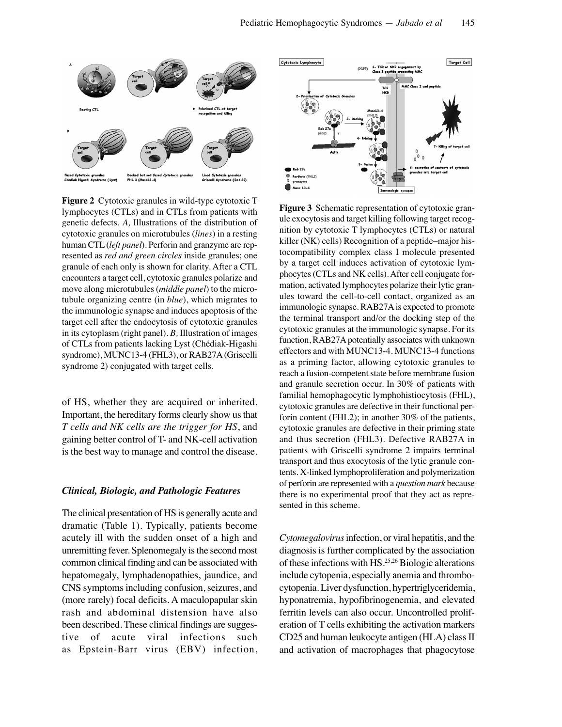

**Figure 2** Cytotoxic granules in wild-type cytotoxic T lymphocytes (CTLs) and in CTLs from patients with genetic defects. *A,* Illustrations of the distribution of cytotoxic granules on microtubules (*lines*) in a resting human CTL (*left panel*). Perforin and granzyme are represented as *red and green circles* inside granules; one granule of each only is shown for clarity. After a CTL encounters a target cell, cytotoxic granules polarize and move along microtubules (*middle panel*) to the microtubule organizing centre (in *blue*), which migrates to the immunologic synapse and induces apoptosis of the target cell after the endocytosis of cytotoxic granules in its cytoplasm (right panel). *B,* Illustration of images of CTLs from patients lacking Lyst (Chédiak-Higashi syndrome), MUNC13-4 (FHL3), or RAB27A (Griscelli syndrome 2) conjugated with target cells.

of HS, whether they are acquired or inherited. Important, the hereditary forms clearly show us that *T cells and NK cells are the trigger for HS*, and gaining better control of T- and NK-cell activation is the best way to manage and control the disease.

#### *Clinical, Biologic, and Pathologic Features*

The clinical presentation of HS is generally acute and dramatic (Table 1). Typically, patients become acutely ill with the sudden onset of a high and unremitting fever. Splenomegaly is the second most common clinical finding and can be associated with hepatomegaly, lymphadenopathies, jaundice, and CNS symptoms including confusion, seizures, and (more rarely) focal deficits. A maculopapular skin rash and abdominal distension have also been described. These clinical findings are suggestive of acute viral infections such as Epstein-Barr virus (EBV) infection,



**Figure 3** Schematic representation of cytotoxic granule exocytosis and target killing following target recognition by cytotoxic T lymphocytes (CTLs) or natural killer (NK) cells) Recognition of a peptide–major histocompatibility complex class I molecule presented by a target cell induces activation of cytotoxic lymphocytes (CTLs and NK cells). After cell conjugate formation, activated lymphocytes polarize their lytic granules toward the cell-to-cell contact, organized as an immunologic synapse. RAB27A is expected to promote the terminal transport and/or the docking step of the cytotoxic granules at the immunologic synapse. For its function, RAB27A potentially associates with unknown effectors and with MUNC13-4. MUNC13-4 functions as a priming factor, allowing cytotoxic granules to reach a fusion-competent state before membrane fusion and granule secretion occur. In 30% of patients with familial hemophagocytic lymphohistiocytosis (FHL), cytotoxic granules are defective in their functional perforin content (FHL2); in another 30% of the patients, cytotoxic granules are defective in their priming state and thus secretion (FHL3). Defective RAB27A in patients with Griscelli syndrome 2 impairs terminal transport and thus exocytosis of the lytic granule contents. X-linked lymphoproliferation and polymerization of perforin are represented with a *question mark* because there is no experimental proof that they act as represented in this scheme.

*Cytomegalovirus*infection, or viral hepatitis, and the diagnosis is further complicated by the association of these infections with HS.25,26 Biologic alterations include cytopenia, especially anemia and thrombocytopenia. Liver dysfunction, hypertriglyceridemia, hyponatremia, hypofibrinogenemia, and elevated ferritin levels can also occur. Uncontrolled proliferation of T cells exhibiting the activation markers CD25 and human leukocyte antigen (HLA) class II and activation of macrophages that phagocytose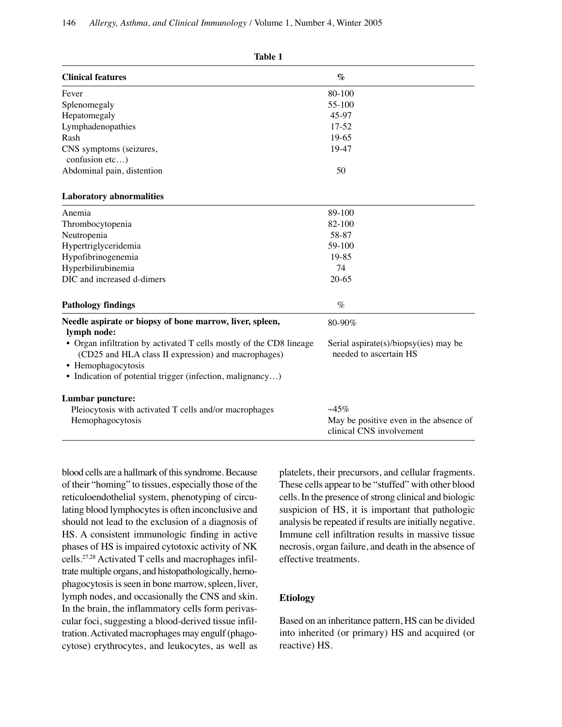| Table 1                                                             |                                                                    |  |
|---------------------------------------------------------------------|--------------------------------------------------------------------|--|
| <b>Clinical features</b>                                            | $\%$                                                               |  |
| Fever                                                               | 80-100                                                             |  |
| Splenomegaly                                                        | 55-100                                                             |  |
| Hepatomegaly                                                        | 45-97                                                              |  |
| Lymphadenopathies                                                   | $17 - 52$                                                          |  |
| Rash                                                                | 19-65                                                              |  |
| CNS symptoms (seizures,                                             | 19-47                                                              |  |
| confusion etc)                                                      |                                                                    |  |
| Abdominal pain, distention                                          | 50                                                                 |  |
| <b>Laboratory abnormalities</b>                                     |                                                                    |  |
| Anemia                                                              | 89-100                                                             |  |
| Thrombocytopenia                                                    | 82-100                                                             |  |
| Neutropenia                                                         | 58-87                                                              |  |
| Hypertriglyceridemia                                                | 59-100                                                             |  |
| Hypofibrinogenemia                                                  | 19-85                                                              |  |
| Hyperbilirubinemia                                                  | 74                                                                 |  |
| DIC and increased d-dimers                                          | $20 - 65$                                                          |  |
| <b>Pathology findings</b>                                           | $\%$                                                               |  |
| Needle aspirate or biopsy of bone marrow, liver, spleen,            | 80-90%                                                             |  |
| lymph node:                                                         |                                                                    |  |
| • Organ infiltration by activated T cells mostly of the CD8 lineage | Serial aspirate(s)/biopsy(ies) may be                              |  |
| (CD25 and HLA class II expression) and macrophages)                 | needed to ascertain HS                                             |  |
| • Hemophagocytosis                                                  |                                                                    |  |
| • Indication of potential trigger (infection, malignancy)           |                                                                    |  |
| Lumbar puncture:                                                    |                                                                    |  |
| Pleiocytosis with activated T cells and/or macrophages              | $~1.45\%$                                                          |  |
| Hemophagocytosis                                                    | May be positive even in the absence of<br>clinical CNS involvement |  |

blood cells are a hallmark of this syndrome. Because of their "homing" to tissues, especially those of the reticuloendothelial system, phenotyping of circulating blood lymphocytes is often inconclusive and should not lead to the exclusion of a diagnosis of HS. A consistent immunologic finding in active phases of HS is impaired cytotoxic activity of NK cells.27,28 Activated T cells and macrophages infiltrate multiple organs, and histopathologically, hemophagocytosis is seen in bone marrow, spleen, liver, lymph nodes, and occasionally the CNS and skin. In the brain, the inflammatory cells form perivascular foci, suggesting a blood-derived tissue infiltration. Activated macrophages may engulf (phagocytose) erythrocytes, and leukocytes, as well as

platelets, their precursors, and cellular fragments. These cells appear to be "stuffed" with other blood cells. In the presence of strong clinical and biologic suspicion of HS, it is important that pathologic analysis be repeated if results are initially negative. Immune cell infiltration results in massive tissue necrosis, organ failure, and death in the absence of effective treatments.

# **Etiology**

Based on an inheritance pattern, HS can be divided into inherited (or primary) HS and acquired (or reactive) HS.

**Table 1**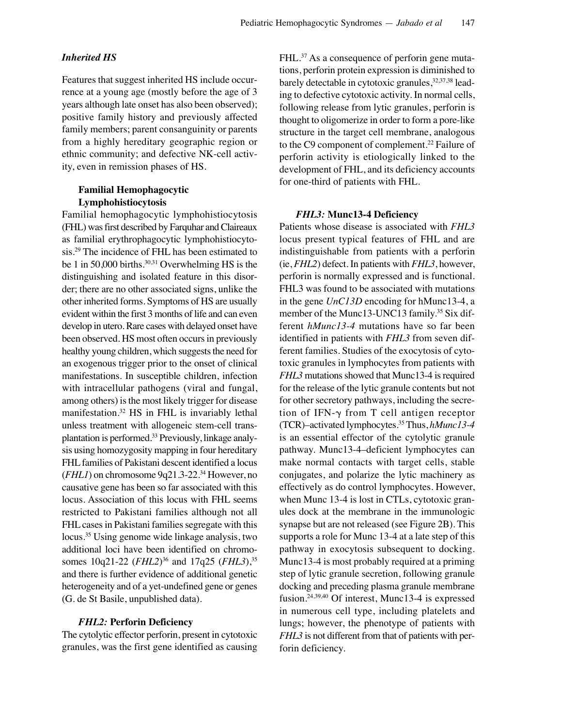#### *Inherited HS*

Features that suggest inherited HS include occurrence at a young age (mostly before the age of 3 years although late onset has also been observed); positive family history and previously affected family members; parent consanguinity or parents from a highly hereditary geographic region or ethnic community; and defective NK-cell activity, even in remission phases of HS.

## **Familial Hemophagocytic Lymphohistiocytosis**

Familial hemophagocytic lymphohistiocytosis (FHL) was first described by Farquhar and Claireaux as familial erythrophagocytic lymphohistiocytosis.29 The incidence of FHL has been estimated to be 1 in 50,000 births.<sup>30,31</sup> Overwhelming HS is the distinguishing and isolated feature in this disorder; there are no other associated signs, unlike the other inherited forms. Symptoms of HS are usually evident within the first 3 months of life and can even develop in utero. Rare cases with delayed onset have been observed. HS most often occurs in previously healthy young children, which suggests the need for an exogenous trigger prior to the onset of clinical manifestations. In susceptible children, infection with intracellular pathogens (viral and fungal, among others) is the most likely trigger for disease manifestation.32 HS in FHL is invariably lethal unless treatment with allogeneic stem-cell transplantation is performed.33 Previously, linkage analysis using homozygosity mapping in four hereditary FHL families of Pakistani descent identified a locus (*FHL1*) on chromosome 9q21.3-22.34 However, no causative gene has been so far associated with this locus. Association of this locus with FHL seems restricted to Pakistani families although not all FHL cases in Pakistani families segregate with this locus.35 Using genome wide linkage analysis, two additional loci have been identified on chromosomes 10q21-22 (*FHL2*)<sup>36</sup> and 17q25 (*FHL3*),<sup>35</sup> and there is further evidence of additional genetic heterogeneity and of a yet-undefined gene or genes (G. de St Basile, unpublished data).

## *FHL2:* **Perforin Deficiency**

The cytolytic effector perforin, present in cytotoxic granules, was the first gene identified as causing FHL.<sup>37</sup> As a consequence of perforin gene mutations, perforin protein expression is diminished to barely detectable in cytotoxic granules, $32,37,38$  leading to defective cytotoxic activity. In normal cells, following release from lytic granules, perforin is thought to oligomerize in order to form a pore-like structure in the target cell membrane, analogous to the C9 component of complement.<sup>22</sup> Failure of perforin activity is etiologically linked to the development of FHL, and its deficiency accounts for one-third of patients with FHL.

#### *FHL3:* **Munc13-4 Deficiency**

Patients whose disease is associated with *FHL3* locus present typical features of FHL and are indistinguishable from patients with a perforin (ie, *FHL2*) defect. In patients with *FHL3*, however, perforin is normally expressed and is functional. FHL3 was found to be associated with mutations in the gene *UnC13D* encoding for hMunc13-4, a member of the Munc13-UNC13 family.35 Six different *hMunc13-4* mutations have so far been identified in patients with *FHL3* from seven different families. Studies of the exocytosis of cytotoxic granules in lymphocytes from patients with *FHL3* mutations showed that Munc13-4 is required for the release of the lytic granule contents but not for other secretory pathways, including the secretion of IFN-- from T cell antigen receptor (TCR)–activated lymphocytes.35 Thus, *hMunc13-4* is an essential effector of the cytolytic granule pathway. Munc13-4–deficient lymphocytes can make normal contacts with target cells, stable conjugates, and polarize the lytic machinery as effectively as do control lymphocytes. However, when Munc 13-4 is lost in CTLs, cytotoxic granules dock at the membrane in the immunologic synapse but are not released (see Figure 2B). This supports a role for Munc 13-4 at a late step of this pathway in exocytosis subsequent to docking. Munc13-4 is most probably required at a priming step of lytic granule secretion, following granule docking and preceding plasma granule membrane fusion.24,39,40 Of interest, Munc13-4 is expressed in numerous cell type, including platelets and lungs; however, the phenotype of patients with *FHL3* is not different from that of patients with perforin deficiency.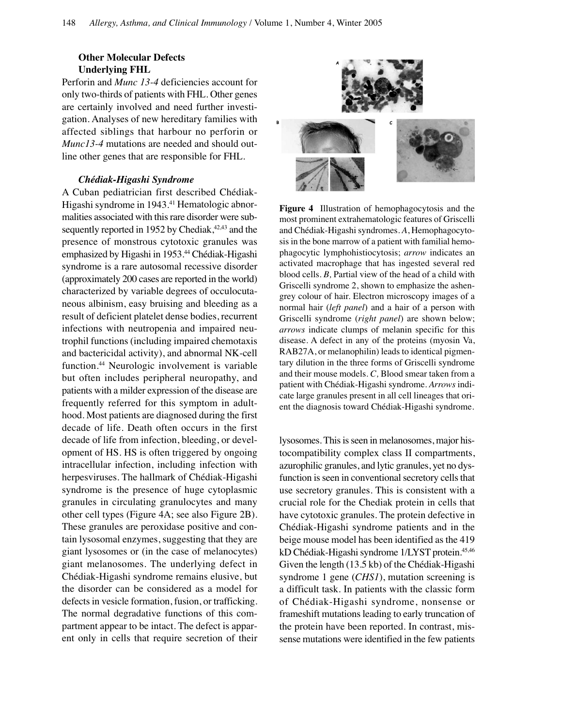# **Other Molecular Defects Underlying FHL**

Perforin and *Munc 13-4* deficiencies account for only two-thirds of patients with FHL. Other genes are certainly involved and need further investigation. Analyses of new hereditary families with affected siblings that harbour no perforin or *Munc13-4* mutations are needed and should outline other genes that are responsible for FHL.

## *Chédiak-Higashi Syndrome*

A Cuban pediatrician first described Chédiak-Higashi syndrome in 1943.<sup>41</sup> Hematologic abnormalities associated with this rare disorder were subsequently reported in 1952 by Chediak, $42,43$  and the presence of monstrous cytotoxic granules was emphasized by Higashi in 1953.44 Chédiak-Higashi syndrome is a rare autosomal recessive disorder (approximately 200 cases are reported in the world) characterized by variable degrees of occulocutaneous albinism, easy bruising and bleeding as a result of deficient platelet dense bodies, recurrent infections with neutropenia and impaired neutrophil functions (including impaired chemotaxis and bactericidal activity), and abnormal NK-cell function.44 Neurologic involvement is variable but often includes peripheral neuropathy, and patients with a milder expression of the disease are frequently referred for this symptom in adulthood. Most patients are diagnosed during the first decade of life. Death often occurs in the first decade of life from infection, bleeding, or development of HS. HS is often triggered by ongoing intracellular infection, including infection with herpesviruses. The hallmark of Chédiak-Higashi syndrome is the presence of huge cytoplasmic granules in circulating granulocytes and many other cell types (Figure 4A; see also Figure 2B). These granules are peroxidase positive and contain lysosomal enzymes, suggesting that they are giant lysosomes or (in the case of melanocytes) giant melanosomes. The underlying defect in Chédiak-Higashi syndrome remains elusive, but the disorder can be considered as a model for defects in vesicle formation, fusion, or trafficking. The normal degradative functions of this compartment appear to be intact. The defect is apparent only in cells that require secretion of their



**Figure 4** Illustration of hemophagocytosis and the most prominent extrahematologic features of Griscelli and Chédiak-Higashi syndromes. *A*, Hemophagocytosis in the bone marrow of a patient with familial hemophagocytic lymphohistiocytosis; *arrow* indicates an activated macrophage that has ingested several red blood cells. *B,* Partial view of the head of a child with Griscelli syndrome 2, shown to emphasize the ashengrey colour of hair. Electron microscopy images of a normal hair (*left panel*) and a hair of a person with Griscelli syndrome (*right panel*) are shown below; *arrows* indicate clumps of melanin specific for this disease. A defect in any of the proteins (myosin Va, RAB27A, or melanophilin) leads to identical pigmentary dilution in the three forms of Griscelli syndrome and their mouse models. *C,* Blood smear taken from a patient with Chédiak-Higashi syndrome. *Arrows* indicate large granules present in all cell lineages that orient the diagnosis toward Chédiak-Higashi syndrome.

lysosomes. This is seen in melanosomes, major histocompatibility complex class II compartments, azurophilic granules, and lytic granules, yet no dysfunction is seen in conventional secretory cells that use secretory granules. This is consistent with a crucial role for the Chediak protein in cells that have cytotoxic granules. The protein defective in Chédiak-Higashi syndrome patients and in the beige mouse model has been identified as the 419 kD Chédiak-Higashi syndrome 1/LYST protein.45,46 Given the length (13.5 kb) of the Chédiak-Higashi syndrome 1 gene (*CHS1*), mutation screening is a difficult task. In patients with the classic form of Chédiak-Higashi syndrome, nonsense or frameshift mutations leading to early truncation of the protein have been reported. In contrast, missense mutations were identified in the few patients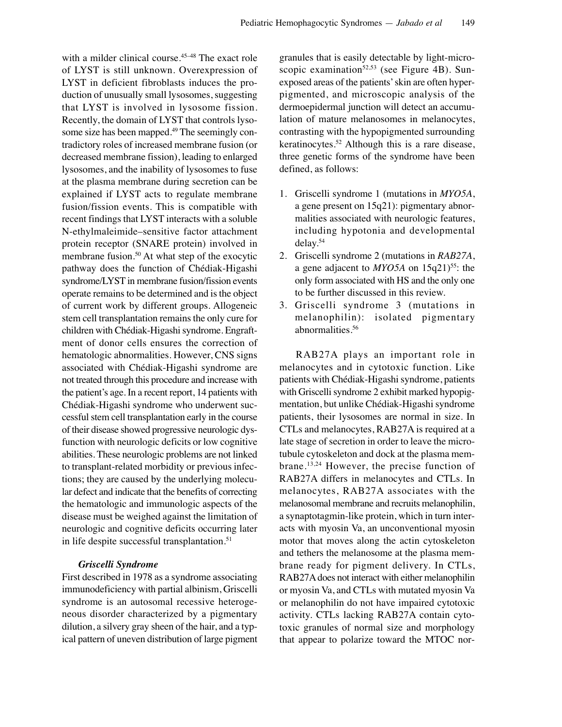with a milder clinical course.<sup>45-48</sup> The exact role of LYST is still unknown. Overexpression of LYST in deficient fibroblasts induces the production of unusually small lysosomes, suggesting that LYST is involved in lysosome fission. Recently, the domain of LYST that controls lysosome size has been mapped.<sup>49</sup> The seemingly contradictory roles of increased membrane fusion (or decreased membrane fission), leading to enlarged lysosomes, and the inability of lysosomes to fuse at the plasma membrane during secretion can be explained if LYST acts to regulate membrane fusion/fission events. This is compatible with recent findings that LYST interacts with a soluble N-ethylmaleimide–sensitive factor attachment protein receptor (SNARE protein) involved in membrane fusion.<sup>50</sup> At what step of the exocytic pathway does the function of Chédiak-Higashi syndrome/LYST in membrane fusion/fission events operate remains to be determined and is the object of current work by different groups. Allogeneic stem cell transplantation remains the only cure for children with Chédiak-Higashi syndrome. Engraftment of donor cells ensures the correction of hematologic abnormalities. However, CNS signs associated with Chédiak-Higashi syndrome are not treated through this procedure and increase with the patient's age. In a recent report, 14 patients with Chédiak-Higashi syndrome who underwent successful stem cell transplantation early in the course of their disease showed progressive neurologic dysfunction with neurologic deficits or low cognitive abilities. These neurologic problems are not linked to transplant-related morbidity or previous infections; they are caused by the underlying molecular defect and indicate that the benefits of correcting the hematologic and immunologic aspects of the disease must be weighed against the limitation of neurologic and cognitive deficits occurring later in life despite successful transplantation.<sup>51</sup>

#### *Griscelli Syndrome*

First described in 1978 as a syndrome associating immunodeficiency with partial albinism, Griscelli syndrome is an autosomal recessive heterogeneous disorder characterized by a pigmentary dilution, a silvery gray sheen of the hair, and a typical pattern of uneven distribution of large pigment granules that is easily detectable by light-microscopic examination<sup>52,53</sup> (see Figure 4B). Sunexposed areas of the patients' skin are often hyperpigmented, and microscopic analysis of the dermoepidermal junction will detect an accumulation of mature melanosomes in melanocytes, contrasting with the hypopigmented surrounding keratinocytes.52 Although this is a rare disease, three genetic forms of the syndrome have been defined, as follows:

- 1. Griscelli syndrome 1 (mutations in *MYO5A*, a gene present on 15q21): pigmentary abnormalities associated with neurologic features, including hypotonia and developmental delay.54
- 2. Griscelli syndrome 2 (mutations in *RAB27A*, a gene adjacent to *MYO5A* on 15q21)<sup>55</sup>: the only form associated with HS and the only one to be further discussed in this review.
- 3. Griscelli syndrome 3 (mutations in melanophilin): isolated pigmentary abnormalities.56

RAB27A plays an important role in melanocytes and in cytotoxic function. Like patients with Chédiak-Higashi syndrome, patients with Griscelli syndrome 2 exhibit marked hypopigmentation, but unlike Chédiak-Higashi syndrome patients, their lysosomes are normal in size. In CTLs and melanocytes, RAB27A is required at a late stage of secretion in order to leave the microtubule cytoskeleton and dock at the plasma membrane.13,24 However, the precise function of RAB27A differs in melanocytes and CTLs. In melanocytes, RAB27A associates with the melanosomal membrane and recruits melanophilin, a synaptotagmin-like protein, which in turn interacts with myosin Va, an unconventional myosin motor that moves along the actin cytoskeleton and tethers the melanosome at the plasma membrane ready for pigment delivery. In CTLs, RAB27Adoes not interact with either melanophilin or myosin Va, and CTLs with mutated myosin Va or melanophilin do not have impaired cytotoxic activity. CTLs lacking RAB27A contain cytotoxic granules of normal size and morphology that appear to polarize toward the MTOC nor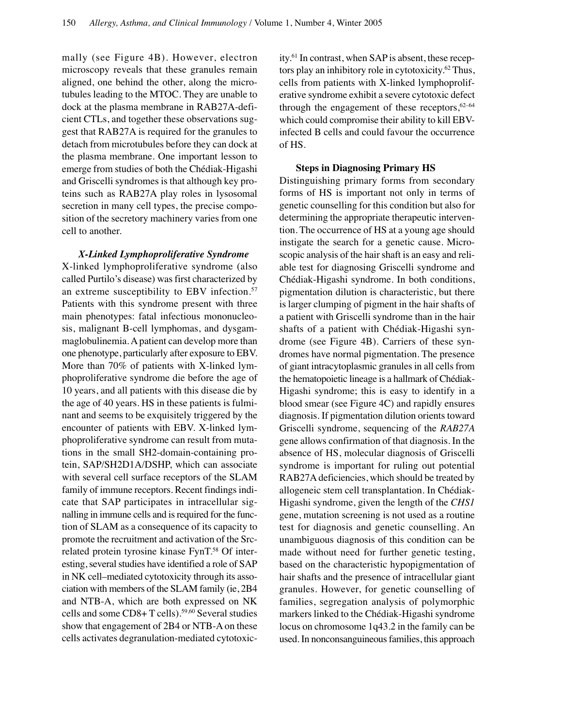mally (see Figure 4B). However, electron microscopy reveals that these granules remain aligned, one behind the other, along the microtubules leading to the MTOC. They are unable to dock at the plasma membrane in RAB27A-deficient CTLs, and together these observations suggest that RAB27A is required for the granules to detach from microtubules before they can dock at the plasma membrane. One important lesson to emerge from studies of both the Chédiak-Higashi and Griscelli syndromes is that although key proteins such as RAB27A play roles in lysosomal secretion in many cell types, the precise composition of the secretory machinery varies from one cell to another.

*X-Linked Lymphoproliferative Syndrome* X-linked lymphoproliferative syndrome (also called Purtilo's disease) was first characterized by an extreme susceptibility to EBV infection.<sup>57</sup> Patients with this syndrome present with three main phenotypes: fatal infectious mononucleosis, malignant B-cell lymphomas, and dysgammaglobulinemia. A patient can develop more than one phenotype, particularly after exposure to EBV. More than 70% of patients with X-linked lymphoproliferative syndrome die before the age of 10 years, and all patients with this disease die by the age of 40 years. HS in these patients is fulminant and seems to be exquisitely triggered by the encounter of patients with EBV. X-linked lymphoproliferative syndrome can result from mutations in the small SH2-domain-containing protein, SAP/SH2D1A/DSHP, which can associate with several cell surface receptors of the SLAM family of immune receptors. Recent findings indicate that SAP participates in intracellular signalling in immune cells and is required for the function of SLAM as a consequence of its capacity to promote the recruitment and activation of the Srcrelated protein tyrosine kinase FynT.<sup>58</sup> Of interesting, several studies have identified a role of SAP in NK cell–mediated cytotoxicity through its association with members of the SLAM family (ie, 2B4 and NTB-A, which are both expressed on NK cells and some CD8+ T cells).<sup>59,60</sup> Several studies show that engagement of 2B4 or NTB-A on these cells activates degranulation-mediated cytotoxicity.<sup>61</sup> In contrast, when SAP is absent, these receptors play an inhibitory role in cytotoxicity.62 Thus, cells from patients with X-linked lymphoproliferative syndrome exhibit a severe cytotoxic defect through the engagement of these receptors, $62-64$ which could compromise their ability to kill EBVinfected B cells and could favour the occurrence of HS.

#### **Steps in Diagnosing Primary HS**

Distinguishing primary forms from secondary forms of HS is important not only in terms of genetic counselling for this condition but also for determining the appropriate therapeutic intervention. The occurrence of HS at a young age should instigate the search for a genetic cause. Microscopic analysis of the hair shaft is an easy and reliable test for diagnosing Griscelli syndrome and Chédiak-Higashi syndrome. In both conditions, pigmentation dilution is characteristic, but there is larger clumping of pigment in the hair shafts of a patient with Griscelli syndrome than in the hair shafts of a patient with Chédiak-Higashi syndrome (see Figure 4B). Carriers of these syndromes have normal pigmentation. The presence of giant intracytoplasmic granules in all cells from the hematopoietic lineage is a hallmark of Chédiak-Higashi syndrome; this is easy to identify in a blood smear (see Figure 4C) and rapidly ensures diagnosis. If pigmentation dilution orients toward Griscelli syndrome, sequencing of the *RAB27A* gene allows confirmation of that diagnosis. In the absence of HS, molecular diagnosis of Griscelli syndrome is important for ruling out potential RAB27A deficiencies, which should be treated by allogeneic stem cell transplantation. In Chédiak-Higashi syndrome, given the length of the *CHS1* gene, mutation screening is not used as a routine test for diagnosis and genetic counselling. An unambiguous diagnosis of this condition can be made without need for further genetic testing, based on the characteristic hypopigmentation of hair shafts and the presence of intracellular giant granules. However, for genetic counselling of families, segregation analysis of polymorphic markers linked to the Chédiak-Higashi syndrome locus on chromosome 1q43.2 in the family can be used. In nonconsanguineous families, this approach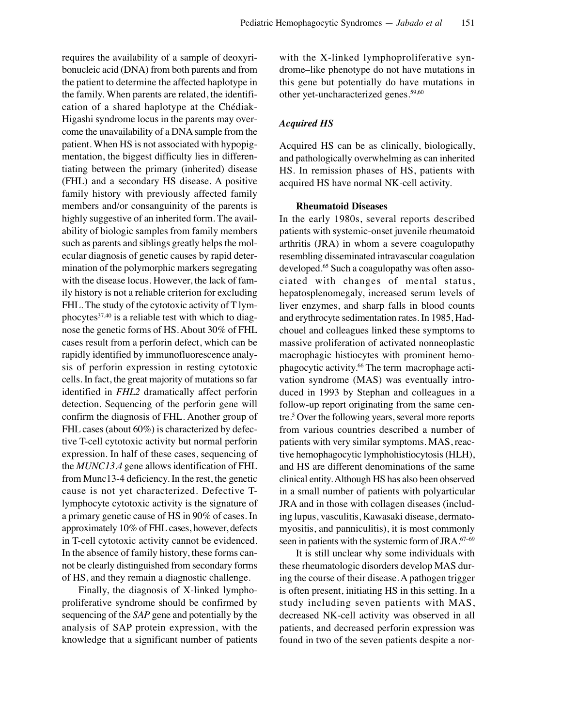requires the availability of a sample of deoxyribonucleic acid (DNA) from both parents and from the patient to determine the affected haplotype in the family. When parents are related, the identification of a shared haplotype at the Chédiak-Higashi syndrome locus in the parents may overcome the unavailability of a DNA sample from the patient. When HS is not associated with hypopigmentation, the biggest difficulty lies in differentiating between the primary (inherited) disease (FHL) and a secondary HS disease. A positive family history with previously affected family members and/or consanguinity of the parents is highly suggestive of an inherited form. The availability of biologic samples from family members such as parents and siblings greatly helps the molecular diagnosis of genetic causes by rapid determination of the polymorphic markers segregating with the disease locus. However, the lack of family history is not a reliable criterion for excluding FHL. The study of the cytotoxic activity of T lymphocytes $37,40$  is a reliable test with which to diagnose the genetic forms of HS. About 30% of FHL cases result from a perforin defect, which can be rapidly identified by immunofluorescence analysis of perforin expression in resting cytotoxic cells. In fact, the great majority of mutations so far identified in *FHL2* dramatically affect perforin detection. Sequencing of the perforin gene will confirm the diagnosis of FHL. Another group of FHL cases (about 60%) is characterized by defective T-cell cytotoxic activity but normal perforin expression. In half of these cases, sequencing of the *MUNC13.4* gene allows identification of FHL from Munc13-4 deficiency. In the rest, the genetic cause is not yet characterized. Defective Tlymphocyte cytotoxic activity is the signature of a primary genetic cause of HS in 90% of cases. In approximately 10% of FHL cases, however, defects in T-cell cytotoxic activity cannot be evidenced. In the absence of family history, these forms cannot be clearly distinguished from secondary forms of HS, and they remain a diagnostic challenge.

Finally, the diagnosis of X-linked lymphoproliferative syndrome should be confirmed by sequencing of the *SAP* gene and potentially by the analysis of SAP protein expression, with the knowledge that a significant number of patients with the X-linked lymphoproliferative syndrome–like phenotype do not have mutations in this gene but potentially do have mutations in other yet-uncharacterized genes.<sup>59,60</sup>

# *Acquired HS*

Acquired HS can be as clinically, biologically, and pathologically overwhelming as can inherited HS. In remission phases of HS, patients with acquired HS have normal NK-cell activity.

#### **Rheumatoid Diseases**

In the early 1980s, several reports described patients with systemic-onset juvenile rheumatoid arthritis (JRA) in whom a severe coagulopathy resembling disseminated intravascular coagulation developed.65 Such a coagulopathy was often associated with changes of mental status, hepatosplenomegaly, increased serum levels of liver enzymes, and sharp falls in blood counts and erythrocyte sedimentation rates. In 1985, Hadchouel and colleagues linked these symptoms to massive proliferation of activated nonneoplastic macrophagic histiocytes with prominent hemophagocytic activity.<sup>66</sup> The term macrophage activation syndrome (MAS) was eventually introduced in 1993 by Stephan and colleagues in a follow-up report originating from the same centre.5 Over the following years, several more reports from various countries described a number of patients with very similar symptoms. MAS, reactive hemophagocytic lymphohistiocytosis (HLH), and HS are different denominations of the same clinical entity. Although HS has also been observed in a small number of patients with polyarticular JRA and in those with collagen diseases (including lupus, vasculitis, Kawasaki disease, dermatomyositis, and panniculitis), it is most commonly seen in patients with the systemic form of JRA.<sup>67-69</sup>

It is still unclear why some individuals with these rheumatologic disorders develop MAS during the course of their disease. A pathogen trigger is often present, initiating HS in this setting. In a study including seven patients with MAS, decreased NK-cell activity was observed in all patients, and decreased perforin expression was found in two of the seven patients despite a nor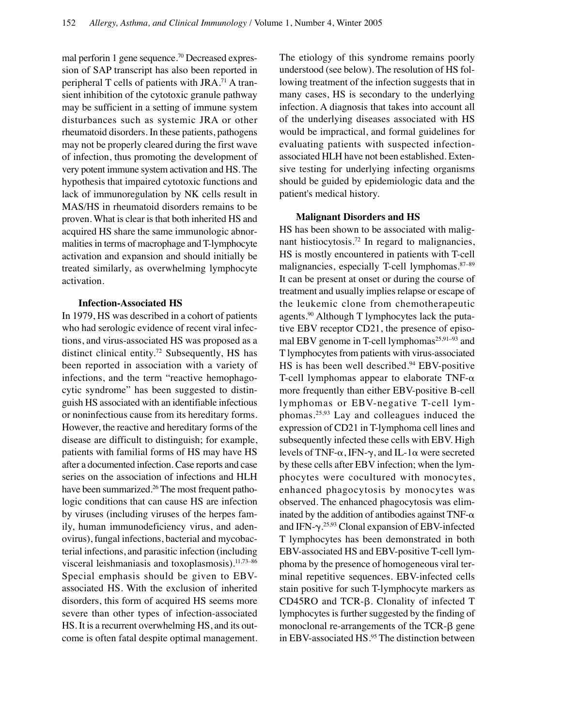mal perforin 1 gene sequence.<sup>70</sup> Decreased expression of SAP transcript has also been reported in peripheral T cells of patients with JRA.<sup>71</sup> A transient inhibition of the cytotoxic granule pathway may be sufficient in a setting of immune system disturbances such as systemic JRA or other rheumatoid disorders. In these patients, pathogens may not be properly cleared during the first wave of infection, thus promoting the development of very potent immune system activation and HS. The hypothesis that impaired cytotoxic functions and lack of immunoregulation by NK cells result in MAS/HS in rheumatoid disorders remains to be proven. What is clear is that both inherited HS and acquired HS share the same immunologic abnormalities in terms of macrophage and T-lymphocyte activation and expansion and should initially be treated similarly, as overwhelming lymphocyte activation.

#### **Infection-Associated HS**

In 1979, HS was described in a cohort of patients who had serologic evidence of recent viral infections, and virus-associated HS was proposed as a distinct clinical entity.<sup>72</sup> Subsequently, HS has been reported in association with a variety of infections, and the term "reactive hemophagocytic syndrome" has been suggested to distinguish HS associated with an identifiable infectious or noninfectious cause from its hereditary forms. However, the reactive and hereditary forms of the disease are difficult to distinguish; for example, patients with familial forms of HS may have HS after a documented infection. Case reports and case series on the association of infections and HLH have been summarized.<sup>26</sup> The most frequent pathologic conditions that can cause HS are infection by viruses (including viruses of the herpes family, human immunodeficiency virus, and adenovirus), fungal infections, bacterial and mycobacterial infections, and parasitic infection (including visceral leishmaniasis and toxoplasmosis). $11,73-86$ Special emphasis should be given to EBVassociated HS. With the exclusion of inherited disorders, this form of acquired HS seems more severe than other types of infection-associated HS. It is a recurrent overwhelming HS, and its outcome is often fatal despite optimal management. The etiology of this syndrome remains poorly understood (see below). The resolution of HS following treatment of the infection suggests that in many cases, HS is secondary to the underlying infection. A diagnosis that takes into account all of the underlying diseases associated with HS would be impractical, and formal guidelines for evaluating patients with suspected infectionassociated HLH have not been established. Extensive testing for underlying infecting organisms should be guided by epidemiologic data and the patient's medical history.

#### **Malignant Disorders and HS**

HS has been shown to be associated with malignant histiocytosis.72 In regard to malignancies, HS is mostly encountered in patients with T-cell malignancies, especially T-cell lymphomas.<sup>87-89</sup> It can be present at onset or during the course of treatment and usually implies relapse or escape of the leukemic clone from chemotherapeutic agents.90 Although T lymphocytes lack the putative EBV receptor CD21, the presence of episomal EBV genome in T-cell lymphomas<sup>25,91–93</sup> and T lymphocytes from patients with virus-associated HS is has been well described.<sup>94</sup> EBV-positive T-cell lymphomas appear to elaborate TNF- $\alpha$ more frequently than either EBV-positive B-cell lymphomas or EBV-negative T-cell lymphomas.25,93 Lay and colleagues induced the expression of CD21 in T-lymphoma cell lines and subsequently infected these cells with EBV. High levels of TNF- $\alpha$ , IFN- $\gamma$ , and IL-1 $\alpha$  were secreted by these cells after EBV infection; when the lymphocytes were cocultured with monocytes, enhanced phagocytosis by monocytes was observed. The enhanced phagocytosis was eliminated by the addition of antibodies against TNF- $\alpha$ and IFN-γ.<sup>25,93</sup> Clonal expansion of EBV-infected T lymphocytes has been demonstrated in both EBV-associated HS and EBV-positive T-cell lymphoma by the presence of homogeneous viral terminal repetitive sequences. EBV-infected cells stain positive for such T-lymphocyte markers as CD45RO and TCR- $\beta$ . Clonality of infected T lymphocytes is further suggested by the finding of monoclonal re-arrangements of the TCR- $\beta$  gene in EBV-associated HS.<sup>95</sup> The distinction between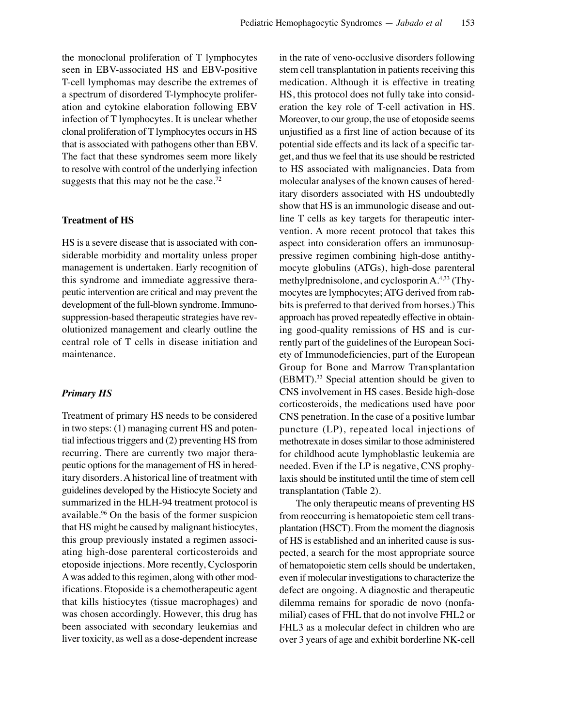the monoclonal proliferation of T lymphocytes seen in EBV-associated HS and EBV-positive T-cell lymphomas may describe the extremes of a spectrum of disordered T-lymphocyte proliferation and cytokine elaboration following EBV infection of T lymphocytes. It is unclear whether clonal proliferation of T lymphocytes occurs in HS that is associated with pathogens other than EBV. The fact that these syndromes seem more likely to resolve with control of the underlying infection suggests that this may not be the case. $72$ 

#### **Treatment of HS**

HS is a severe disease that is associated with considerable morbidity and mortality unless proper management is undertaken. Early recognition of this syndrome and immediate aggressive therapeutic intervention are critical and may prevent the development of the full-blown syndrome. Immunosuppression-based therapeutic strategies have revolutionized management and clearly outline the central role of T cells in disease initiation and maintenance.

## *Primary HS*

Treatment of primary HS needs to be considered in two steps: (1) managing current HS and potential infectious triggers and (2) preventing HS from recurring. There are currently two major therapeutic options for the management of HS in hereditary disorders. A historical line of treatment with guidelines developed by the Histiocyte Society and summarized in the HLH-94 treatment protocol is available.96 On the basis of the former suspicion that HS might be caused by malignant histiocytes, this group previously instated a regimen associating high-dose parenteral corticosteroids and etoposide injections. More recently, Cyclosporin Awas added to this regimen, along with other modifications. Etoposide is a chemotherapeutic agent that kills histiocytes (tissue macrophages) and was chosen accordingly. However, this drug has been associated with secondary leukemias and liver toxicity, as well as a dose-dependent increase in the rate of veno-occlusive disorders following stem cell transplantation in patients receiving this medication. Although it is effective in treating HS, this protocol does not fully take into consideration the key role of T-cell activation in HS. Moreover, to our group, the use of etoposide seems unjustified as a first line of action because of its potential side effects and its lack of a specific target, and thus we feel that its use should be restricted to HS associated with malignancies. Data from molecular analyses of the known causes of hereditary disorders associated with HS undoubtedly show that HS is an immunologic disease and outline T cells as key targets for therapeutic intervention. A more recent protocol that takes this aspect into consideration offers an immunosuppressive regimen combining high-dose antithymocyte globulins (ATGs), high-dose parenteral methylprednisolone, and cyclosporin A.<sup>4,33</sup> (Thymocytes are lymphocytes; ATG derived from rabbits is preferred to that derived from horses.) This approach has proved repeatedly effective in obtaining good-quality remissions of HS and is currently part of the guidelines of the European Society of Immunodeficiencies, part of the European Group for Bone and Marrow Transplantation (EBMT).33 Special attention should be given to CNS involvement in HS cases. Beside high-dose corticosteroids, the medications used have poor CNS penetration. In the case of a positive lumbar puncture (LP), repeated local injections of methotrexate in doses similar to those administered for childhood acute lymphoblastic leukemia are needed. Even if the LP is negative, CNS prophylaxis should be instituted until the time of stem cell transplantation (Table 2).

The only therapeutic means of preventing HS from reoccurring is hematopoietic stem cell transplantation (HSCT). From the moment the diagnosis of HS is established and an inherited cause is suspected, a search for the most appropriate source of hematopoietic stem cells should be undertaken, even if molecular investigations to characterize the defect are ongoing. A diagnostic and therapeutic dilemma remains for sporadic de novo (nonfamilial) cases of FHL that do not involve FHL2 or FHL3 as a molecular defect in children who are over 3 years of age and exhibit borderline NK-cell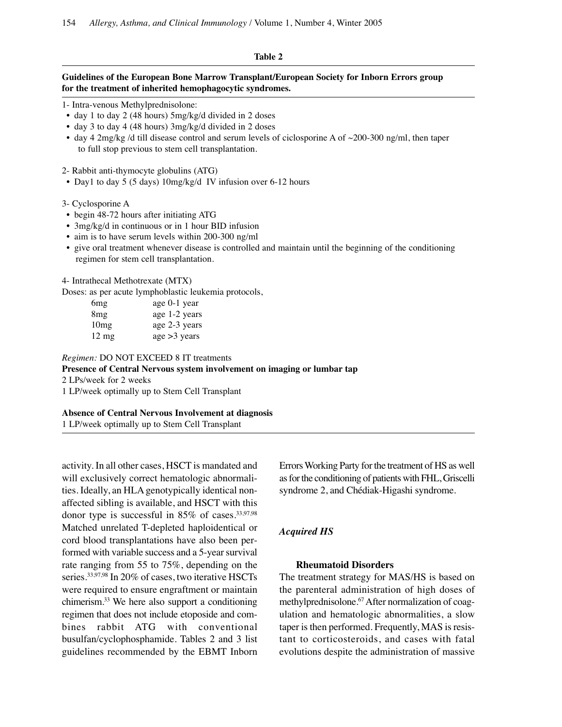#### **Table 2**

## **Guidelines of the European Bone Marrow Transplant/European Society for Inborn Errors group for the treatment of inherited hemophagocytic syndromes.**

- day 1 to day 2 (48 hours) 5mg/kg/d divided in 2 doses
- day 3 to day 4 (48 hours) 3mg/kg/d divided in 2 doses
- day 4 2mg/kg /d till disease control and serum levels of ciclosporine A of  $\sim$ 200-300 ng/ml, then taper to full stop previous to stem cell transplantation.

2- Rabbit anti-thymocyte globulins (ATG)

• Day1 to day 5 (5 days) 10mg/kg/d IV infusion over 6-12 hours

3- Cyclosporine A

- begin 48-72 hours after initiating ATG
- 3mg/kg/d in continuous or in 1 hour BID infusion
- aim is to have serum levels within 200-300 ng/ml
- give oral treatment whenever disease is controlled and maintain until the beginning of the conditioning regimen for stem cell transplantation.

4- Intrathecal Methotrexate (MTX)

Doses: as per acute lymphoblastic leukemia protocols,

| 6 <sub>mg</sub> | age 0-1 year  |
|-----------------|---------------|
| 8mg             | age 1-2 years |
| 10mg            | age 2-3 years |
| $12 \text{ mg}$ | age > 3 years |

*Regimen:* DO NOT EXCEED 8 IT treatments

**Presence of Central Nervous system involvement on imaging or lumbar tap**

2 LPs/week for 2 weeks

1 LP/week optimally up to Stem Cell Transplant

**Absence of Central Nervous Involvement at diagnosis**

1 LP/week optimally up to Stem Cell Transplant

activity. In all other cases, HSCT is mandated and will exclusively correct hematologic abnormalities. Ideally, an HLA genotypically identical nonaffected sibling is available, and HSCT with this donor type is successful in 85% of cases.<sup>33,97,98</sup> Matched unrelated T-depleted haploidentical or cord blood transplantations have also been performed with variable success and a 5-year survival rate ranging from 55 to 75%, depending on the series.<sup>33,97,98</sup> In 20% of cases, two iterative HSCTs were required to ensure engraftment or maintain chimerism.33 We here also support a conditioning regimen that does not include etoposide and combines rabbit ATG with conventional busulfan/cyclophosphamide. Tables 2 and 3 list guidelines recommended by the EBMT Inborn Errors Working Party for the treatment of HS as well as for the conditioning of patients with FHL, Griscelli syndrome 2, and Chédiak-Higashi syndrome.

#### *Acquired HS*

#### **Rheumatoid Disorders**

The treatment strategy for MAS/HS is based on the parenteral administration of high doses of methylprednisolone.<sup>67</sup> After normalization of coagulation and hematologic abnormalities, a slow taper is then performed. Frequently, MAS is resistant to corticosteroids, and cases with fatal evolutions despite the administration of massive

<sup>1-</sup> Intra-venous Methylprednisolone: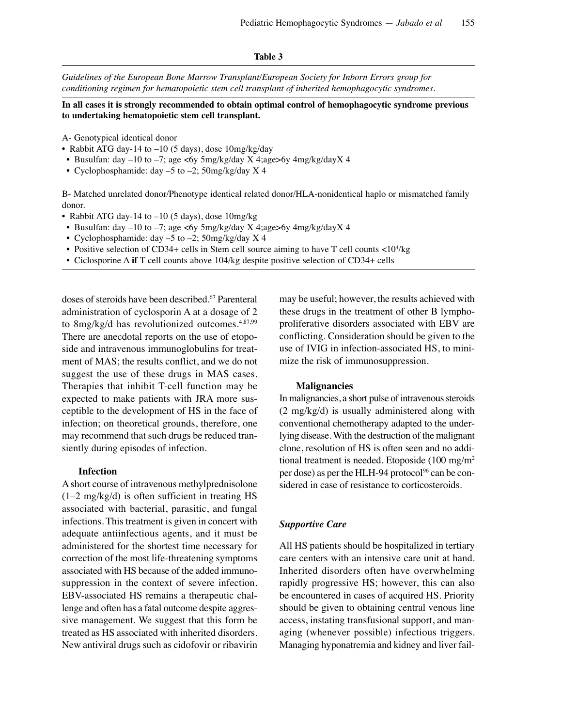#### **Table 3**

*Guidelines of the European Bone Marrow Transplant/European Society for Inborn Errors group for conditioning regimen for hematopoietic stem cell transplant of inherited hemophagocytic syndromes.*

**In all cases it is strongly recommended to obtain optimal control of hemophagocytic syndrome previous to undertaking hematopoietic stem cell transplant.**

A- Genotypical identical donor

- Rabbit ATG day-14 to -10 (5 days), dose 10mg/kg/day
- Busulfan: day  $-10$  to  $-7$ ; age  $\langle 6y 5mg/kg/day X 4$ ; age $\langle 6y 4mg/kg/day X 4$
- Cyclophosphamide: day  $-5$  to  $-2$ ; 50mg/kg/day X 4

B- Matched unrelated donor/Phenotype identical related donor/HLA-nonidentical haplo or mismatched family donor.

- Rabbit ATG day-14 to  $-10$  (5 days), dose  $10$ mg/kg
- Busulfan: day  $-10$  to  $-7$ ; age  $\langle 6y 5mg/kg/day X 4$ ; age $>6y 4mg/kg/day X 4$
- Cyclophosphamide: day  $-5$  to  $-2$ ; 50mg/kg/day X 4
- Positive selection of CD34+ cells in Stem cell source aiming to have T cell counts <10<sup>4</sup>/kg
- Ciclosporine A **if** T cell counts above 104/kg despite positive selection of CD34+ cells

doses of steroids have been described.67 Parenteral administration of cyclosporin A at a dosage of 2 to 8mg/kg/d has revolutionized outcomes. $4,87,99$ There are anecdotal reports on the use of etoposide and intravenous immunoglobulins for treatment of MAS; the results conflict, and we do not suggest the use of these drugs in MAS cases. Therapies that inhibit T-cell function may be expected to make patients with JRA more susceptible to the development of HS in the face of infection; on theoretical grounds, therefore, one may recommend that such drugs be reduced transiently during episodes of infection.

#### **Infection**

A short course of intravenous methylprednisolone  $(1-2 \text{ mg/kg/d})$  is often sufficient in treating HS associated with bacterial, parasitic, and fungal infections. This treatment is given in concert with adequate antiinfectious agents, and it must be administered for the shortest time necessary for correction of the most life-threatening symptoms associated with HS because of the added immunosuppression in the context of severe infection. EBV-associated HS remains a therapeutic challenge and often has a fatal outcome despite aggressive management. We suggest that this form be treated as HS associated with inherited disorders. New antiviral drugs such as cidofovir or ribavirin may be useful; however, the results achieved with these drugs in the treatment of other B lymphoproliferative disorders associated with EBV are conflicting. Consideration should be given to the use of IVIG in infection-associated HS, to minimize the risk of immunosuppression.

#### **Malignancies**

In malignancies, a short pulse of intravenous steroids (2 mg/kg/d) is usually administered along with conventional chemotherapy adapted to the underlying disease. With the destruction of the malignant clone, resolution of HS is often seen and no additional treatment is needed. Etoposide (100 mg/m2 per dose) as per the HLH-94 protocol<sup>96</sup> can be considered in case of resistance to corticosteroids.

#### *Supportive Care*

All HS patients should be hospitalized in tertiary care centers with an intensive care unit at hand. Inherited disorders often have overwhelming rapidly progressive HS; however, this can also be encountered in cases of acquired HS. Priority should be given to obtaining central venous line access, instating transfusional support, and managing (whenever possible) infectious triggers. Managing hyponatremia and kidney and liver fail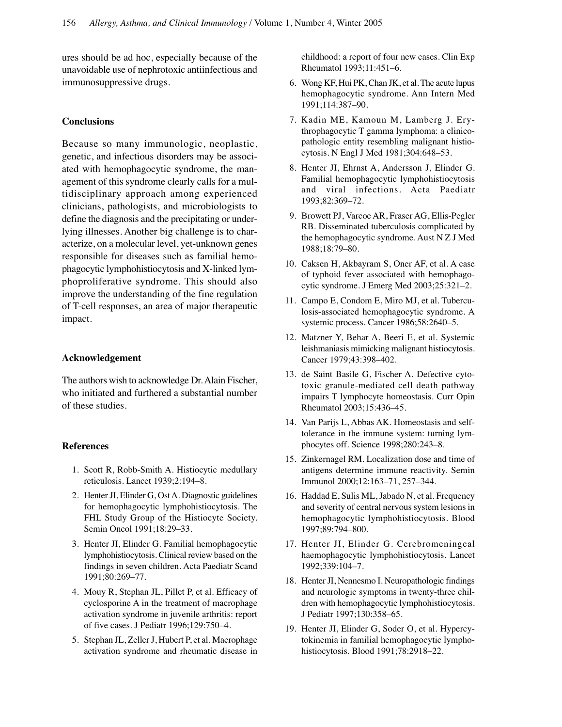ures should be ad hoc, especially because of the unavoidable use of nephrotoxic antiinfectious and immunosuppressive drugs.

## **Conclusions**

Because so many immunologic, neoplastic, genetic, and infectious disorders may be associated with hemophagocytic syndrome, the management of this syndrome clearly calls for a multidisciplinary approach among experienced clinicians, pathologists, and microbiologists to define the diagnosis and the precipitating or underlying illnesses. Another big challenge is to characterize, on a molecular level, yet-unknown genes responsible for diseases such as familial hemophagocytic lymphohistiocytosis and X-linked lymphoproliferative syndrome. This should also improve the understanding of the fine regulation of T-cell responses, an area of major therapeutic impact.

#### **Acknowledgement**

The authors wish to acknowledge Dr. Alain Fischer, who initiated and furthered a substantial number of these studies.

## **References**

- 1. Scott R, Robb-Smith A. Histiocytic medullary reticulosis. Lancet 1939;2:194–8.
- 2. Henter JI, Elinder G, Ost A. Diagnostic guidelines for hemophagocytic lymphohistiocytosis. The FHL Study Group of the Histiocyte Society. Semin Oncol 1991;18:29–33.
- 3. Henter JI, Elinder G. Familial hemophagocytic lymphohistiocytosis. Clinical review based on the findings in seven children. Acta Paediatr Scand 1991;80:269–77.
- 4. Mouy R, Stephan JL, Pillet P, et al. Efficacy of cyclosporine A in the treatment of macrophage activation syndrome in juvenile arthritis: report of five cases. J Pediatr 1996;129:750–4.
- 5. Stephan JL, Zeller J, Hubert P, et al. Macrophage activation syndrome and rheumatic disease in

childhood: a report of four new cases. Clin Exp Rheumatol 1993;11:451–6.

- 6. Wong KF, Hui PK, Chan JK, et al. The acute lupus hemophagocytic syndrome. Ann Intern Med 1991;114:387–90.
- 7. Kadin ME, Kamoun M, Lamberg J. Erythrophagocytic T gamma lymphoma: a clinicopathologic entity resembling malignant histiocytosis. N Engl J Med 1981;304:648–53.
- 8. Henter JI, Ehrnst A, Andersson J, Elinder G. Familial hemophagocytic lymphohistiocytosis and viral infections. Acta Paediatr 1993;82:369–72.
- 9. Browett PJ, Varcoe AR, Fraser AG, Ellis-Pegler RB. Disseminated tuberculosis complicated by the hemophagocytic syndrome. Aust N Z J Med 1988;18:79–80.
- 10. Caksen H, Akbayram S, Oner AF, et al. A case of typhoid fever associated with hemophagocytic syndrome. J Emerg Med 2003;25:321–2.
- 11. Campo E, Condom E, Miro MJ, et al. Tuberculosis-associated hemophagocytic syndrome. A systemic process. Cancer 1986;58:2640–5.
- 12. Matzner Y, Behar A, Beeri E, et al. Systemic leishmaniasis mimicking malignant histiocytosis. Cancer 1979;43:398–402.
- 13. de Saint Basile G, Fischer A. Defective cytotoxic granule-mediated cell death pathway impairs T lymphocyte homeostasis. Curr Opin Rheumatol 2003;15:436–45.
- 14. Van Parijs L, Abbas AK. Homeostasis and selftolerance in the immune system: turning lymphocytes off. Science 1998;280:243–8.
- 15. Zinkernagel RM. Localization dose and time of antigens determine immune reactivity. Semin Immunol 2000;12:163–71, 257–344.
- 16. Haddad E, Sulis ML, Jabado N, et al. Frequency and severity of central nervous system lesions in hemophagocytic lymphohistiocytosis. Blood 1997;89:794–800.
- 17. Henter JI, Elinder G. Cerebromeningeal haemophagocytic lymphohistiocytosis. Lancet 1992;339:104–7.
- 18. Henter JI, Nennesmo I. Neuropathologic findings and neurologic symptoms in twenty-three children with hemophagocytic lymphohistiocytosis. J Pediatr 1997;130:358–65.
- 19. Henter JI, Elinder G, Soder O, et al. Hypercytokinemia in familial hemophagocytic lymphohistiocytosis. Blood 1991;78:2918–22.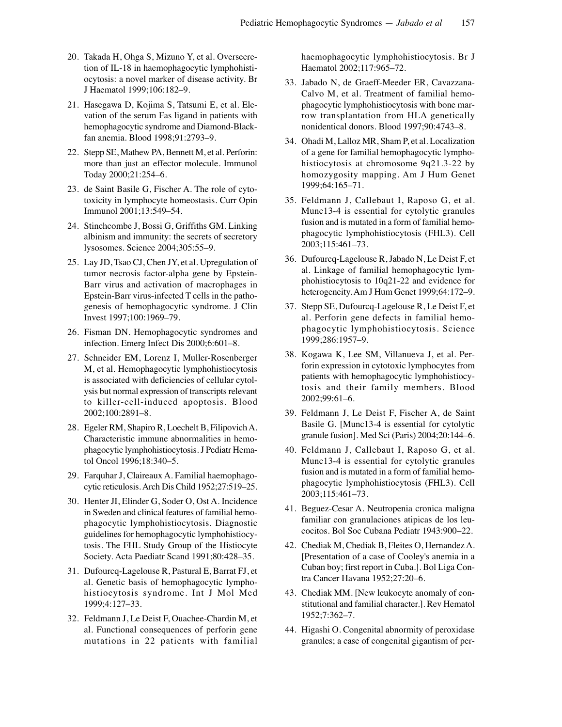- 20. Takada H, Ohga S, Mizuno Y, et al. Oversecretion of IL-18 in haemophagocytic lymphohistiocytosis: a novel marker of disease activity. Br J Haematol 1999;106:182–9.
- 21. Hasegawa D, Kojima S, Tatsumi E, et al. Elevation of the serum Fas ligand in patients with hemophagocytic syndrome and Diamond-Blackfan anemia. Blood 1998;91:2793–9.
- 22. Stepp SE, Mathew PA, Bennett M, et al. Perforin: more than just an effector molecule. Immunol Today 2000;21:254–6.
- 23. de Saint Basile G, Fischer A. The role of cytotoxicity in lymphocyte homeostasis. Curr Opin Immunol 2001;13:549–54.
- 24. Stinchcombe J, Bossi G, Griffiths GM. Linking albinism and immunity: the secrets of secretory lysosomes. Science 2004;305:55–9.
- 25. Lay JD, Tsao CJ, Chen JY, et al. Upregulation of tumor necrosis factor-alpha gene by Epstein-Barr virus and activation of macrophages in Epstein-Barr virus-infected T cells in the pathogenesis of hemophagocytic syndrome. J Clin Invest 1997;100:1969–79.
- 26. Fisman DN. Hemophagocytic syndromes and infection. Emerg Infect Dis 2000;6:601–8.
- 27. Schneider EM, Lorenz I, Muller-Rosenberger M, et al. Hemophagocytic lymphohistiocytosis is associated with deficiencies of cellular cytolysis but normal expression of transcripts relevant to killer-cell-induced apoptosis. Blood 2002;100:2891–8.
- 28. Egeler RM, Shapiro R, Loechelt B, Filipovich A. Characteristic immune abnormalities in hemophagocytic lymphohistiocytosis. J Pediatr Hematol Oncol 1996;18:340–5.
- 29. Farquhar J, Claireaux A. Familial haemophagocytic reticulosis. Arch Dis Child 1952;27:519–25.
- 30. Henter JI, Elinder G, Soder O, Ost A. Incidence in Sweden and clinical features of familial hemophagocytic lymphohistiocytosis. Diagnostic guidelines for hemophagocytic lymphohistiocytosis. The FHL Study Group of the Histiocyte Society. Acta Paediatr Scand 1991;80:428–35.
- 31. Dufourcq-Lagelouse R, Pastural E, Barrat FJ, et al. Genetic basis of hemophagocytic lymphohistiocytosis syndrome. Int J Mol Med 1999;4:127–33.
- 32. Feldmann J, Le Deist F, Ouachee-Chardin M, et al. Functional consequences of perforin gene mutations in 22 patients with familial

haemophagocytic lymphohistiocytosis. Br J Haematol 2002;117:965–72.

- 33. Jabado N, de Graeff-Meeder ER, Cavazzana-Calvo M, et al. Treatment of familial hemophagocytic lymphohistiocytosis with bone marrow transplantation from HLA genetically nonidentical donors. Blood 1997;90:4743–8.
- 34. Ohadi M, Lalloz MR, Sham P, et al. Localization of a gene for familial hemophagocytic lymphohistiocytosis at chromosome 9q21.3-22 by homozygosity mapping. Am J Hum Genet 1999;64:165–71.
- 35. Feldmann J, Callebaut I, Raposo G, et al. Munc13-4 is essential for cytolytic granules fusion and is mutated in a form of familial hemophagocytic lymphohistiocytosis (FHL3). Cell 2003;115:461–73.
- 36. Dufourcq-Lagelouse R, Jabado N, Le Deist F, et al. Linkage of familial hemophagocytic lymphohistiocytosis to 10q21-22 and evidence for heterogeneity. Am J Hum Genet 1999;64:172-9.
- 37. Stepp SE, Dufourcq-Lagelouse R, Le Deist F, et al. Perforin gene defects in familial hemophagocytic lymphohistiocytosis. Science 1999;286:1957–9.
- 38. Kogawa K, Lee SM, Villanueva J, et al. Perforin expression in cytotoxic lymphocytes from patients with hemophagocytic lymphohistiocytosis and their family members. Blood 2002;99:61–6.
- 39. Feldmann J, Le Deist F, Fischer A, de Saint Basile G. [Munc13-4 is essential for cytolytic granule fusion]. Med Sci (Paris) 2004;20:144–6.
- 40. Feldmann J, Callebaut I, Raposo G, et al. Munc13-4 is essential for cytolytic granules fusion and is mutated in a form of familial hemophagocytic lymphohistiocytosis (FHL3). Cell 2003;115:461–73.
- 41. Beguez-Cesar A. Neutropenia cronica maligna familiar con granulaciones atipicas de los leucocitos. Bol Soc Cubana Pediatr 1943:900–22.
- 42. Chediak M, Chediak B, Fleites O, Hernandez A. [Presentation of a case of Cooley's anemia in a Cuban boy; first report in Cuba.]. Bol Liga Contra Cancer Havana 1952;27:20–6.
- 43. Chediak MM. [New leukocyte anomaly of constitutional and familial character.]. Rev Hematol 1952;7:362–7.
- 44. Higashi O. Congenital abnormity of peroxidase granules; a case of congenital gigantism of per-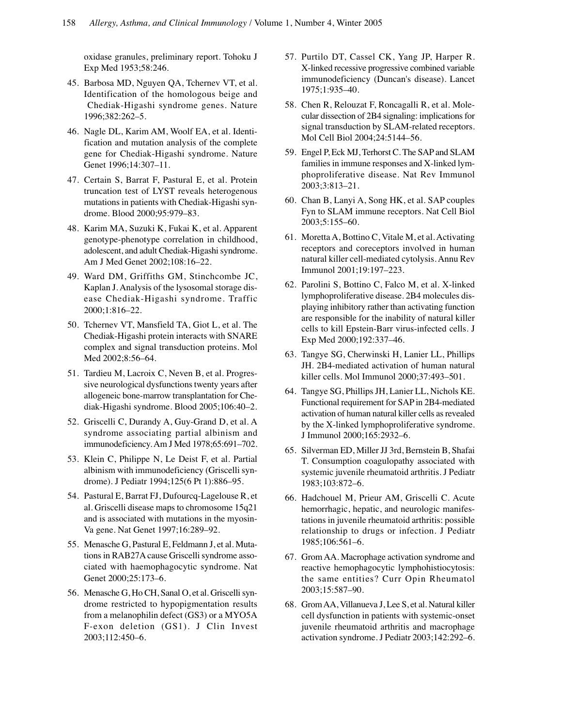oxidase granules, preliminary report. Tohoku J Exp Med 1953;58:246.

- 45. Barbosa MD, Nguyen QA, Tchernev VT, et al. Identification of the homologous beige and Chediak-Higashi syndrome genes. Nature 1996;382:262–5.
- 46. Nagle DL, Karim AM, Woolf EA, et al. Identification and mutation analysis of the complete gene for Chediak-Higashi syndrome. Nature Genet 1996;14:307–11.
- 47. Certain S, Barrat F, Pastural E, et al. Protein truncation test of LYST reveals heterogenous mutations in patients with Chediak-Higashi syndrome. Blood 2000;95:979–83.
- 48. Karim MA, Suzuki K, Fukai K, et al. Apparent genotype-phenotype correlation in childhood, adolescent, and adult Chediak-Higashi syndrome. Am J Med Genet 2002;108:16–22.
- 49. Ward DM, Griffiths GM, Stinchcombe JC, Kaplan J. Analysis of the lysosomal storage disease Chediak-Higashi syndrome. Traffic 2000;1:816–22.
- 50. Tchernev VT, Mansfield TA, Giot L, et al. The Chediak-Higashi protein interacts with SNARE complex and signal transduction proteins. Mol Med 2002;8:56–64.
- 51. Tardieu M, Lacroix C, Neven B, et al. Progressive neurological dysfunctions twenty years after allogeneic bone-marrow transplantation for Chediak-Higashi syndrome. Blood 2005;106:40–2.
- 52. Griscelli C, Durandy A, Guy-Grand D, et al. A syndrome associating partial albinism and immunodeficiency. Am J Med 1978;65:691–702.
- 53. Klein C, Philippe N, Le Deist F, et al. Partial albinism with immunodeficiency (Griscelli syndrome). J Pediatr 1994;125(6 Pt 1):886–95.
- 54. Pastural E, Barrat FJ, Dufourcq-Lagelouse R, et al. Griscelli disease maps to chromosome 15q21 and is associated with mutations in the myosin-Va gene. Nat Genet 1997;16:289–92.
- 55. Menasche G, Pastural E, Feldmann J, et al. Mutations in RAB27A cause Griscelli syndrome associated with haemophagocytic syndrome. Nat Genet 2000;25:173–6.
- 56. Menasche G, Ho CH, Sanal O, et al. Griscelli syndrome restricted to hypopigmentation results from a melanophilin defect (GS3) or a MYO5A F-exon deletion (GS1). J Clin Invest 2003;112:450–6.
- 57. Purtilo DT, Cassel CK, Yang JP, Harper R. X-linked recessive progressive combined variable immunodeficiency (Duncan's disease). Lancet 1975;1:935–40.
- 58. Chen R, Relouzat F, Roncagalli R, et al. Molecular dissection of 2B4 signaling: implications for signal transduction by SLAM-related receptors. Mol Cell Biol 2004;24:5144–56.
- 59. Engel P, Eck MJ, Terhorst C. The SAP and SLAM families in immune responses and X-linked lymphoproliferative disease. Nat Rev Immunol 2003;3:813–21.
- 60. Chan B, Lanyi A, Song HK, et al. SAP couples Fyn to SLAM immune receptors. Nat Cell Biol 2003;5:155–60.
- 61. Moretta A, Bottino C, Vitale M, et al. Activating receptors and coreceptors involved in human natural killer cell-mediated cytolysis. Annu Rev Immunol 2001;19:197–223.
- 62. Parolini S, Bottino C, Falco M, et al. X-linked lymphoproliferative disease. 2B4 molecules displaying inhibitory rather than activating function are responsible for the inability of natural killer cells to kill Epstein-Barr virus-infected cells. J Exp Med 2000;192:337–46.
- 63. Tangye SG, Cherwinski H, Lanier LL, Phillips JH. 2B4-mediated activation of human natural killer cells. Mol Immunol 2000;37:493–501.
- 64. Tangye SG, Phillips JH, Lanier LL, Nichols KE. Functional requirement for SAP in 2B4-mediated activation of human natural killer cells as revealed by the X-linked lymphoproliferative syndrome. J Immunol 2000;165:2932–6.
- 65. Silverman ED, Miller JJ 3rd, Bernstein B, Shafai T. Consumption coagulopathy associated with systemic juvenile rheumatoid arthritis. J Pediatr 1983;103:872–6.
- 66. Hadchouel M, Prieur AM, Griscelli C. Acute hemorrhagic, hepatic, and neurologic manifestations in juvenile rheumatoid arthritis: possible relationship to drugs or infection. J Pediatr 1985;106:561–6.
- 67. Grom AA. Macrophage activation syndrome and reactive hemophagocytic lymphohistiocytosis: the same entities? Curr Opin Rheumatol 2003;15:587–90.
- 68. Grom AA, Villanueva J, Lee S, et al. Natural killer cell dysfunction in patients with systemic-onset juvenile rheumatoid arthritis and macrophage activation syndrome. J Pediatr 2003;142:292–6.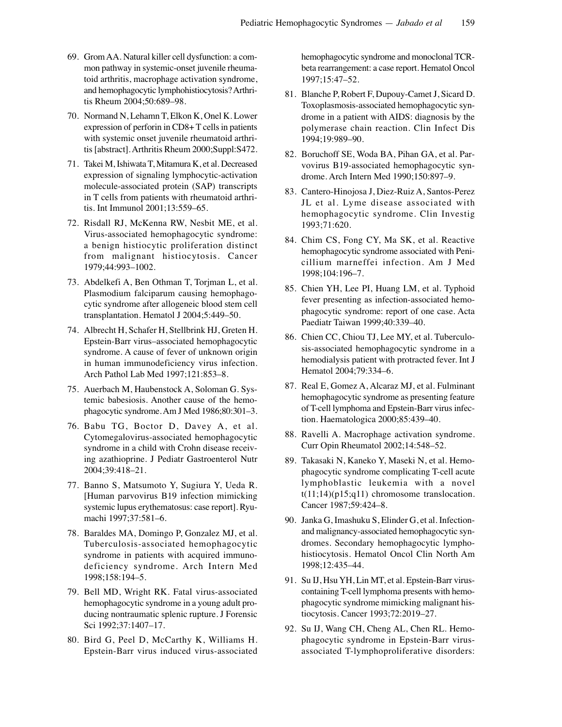- 69. Grom AA. Natural killer cell dysfunction: a common pathway in systemic-onset juvenile rheumatoid arthritis, macrophage activation syndrome, and hemophagocytic lymphohistiocytosis? Arthritis Rheum 2004;50:689–98.
- 70. Normand N, Lehamn T, Elkon K, Onel K. Lower expression of perforin in CD8+ T cells in patients with systemic onset juvenile rheumatoid arthritis [abstract]. Arthritis Rheum 2000;Suppl:S472.
- 71. Takei M, Ishiwata T, Mitamura K, et al. Decreased expression of signaling lymphocytic-activation molecule-associated protein (SAP) transcripts in T cells from patients with rheumatoid arthritis. Int Immunol 2001;13:559–65.
- 72. Risdall RJ, McKenna RW, Nesbit ME, et al. Virus-associated hemophagocytic syndrome: a benign histiocytic proliferation distinct from malignant histiocytosis. Cancer 1979;44:993–1002.
- 73. Abdelkefi A, Ben Othman T, Torjman L, et al. Plasmodium falciparum causing hemophagocytic syndrome after allogeneic blood stem cell transplantation. Hematol J 2004;5:449–50.
- 74. Albrecht H, Schafer H, Stellbrink HJ, Greten H. Epstein-Barr virus–associated hemophagocytic syndrome. A cause of fever of unknown origin in human immunodeficiency virus infection. Arch Pathol Lab Med 1997;121:853–8.
- 75. Auerbach M, Haubenstock A, Soloman G. Systemic babesiosis. Another cause of the hemophagocytic syndrome. Am J Med 1986;80:301–3.
- 76. Babu TG, Boctor D, Davey A, et al. Cytomegalovirus-associated hemophagocytic syndrome in a child with Crohn disease receiving azathioprine. J Pediatr Gastroenterol Nutr 2004;39:418–21.
- 77. Banno S, Matsumoto Y, Sugiura Y, Ueda R. [Human parvovirus B19 infection mimicking systemic lupus erythematosus: case report]. Ryumachi 1997;37:581–6.
- 78. Baraldes MA, Domingo P, Gonzalez MJ, et al. Tuberculosis-associated hemophagocytic syndrome in patients with acquired immunodeficiency syndrome. Arch Intern Med 1998;158:194–5.
- 79. Bell MD, Wright RK. Fatal virus-associated hemophagocytic syndrome in a young adult producing nontraumatic splenic rupture. J Forensic Sci 1992;37:1407–17.
- 80. Bird G, Peel D, McCarthy K, Williams H. Epstein-Barr virus induced virus-associated

hemophagocytic syndrome and monoclonal TCRbeta rearrangement: a case report. Hematol Oncol 1997;15:47–52.

- 81. Blanche P, Robert F, Dupouy-Camet J, Sicard D. Toxoplasmosis-associated hemophagocytic syndrome in a patient with AIDS: diagnosis by the polymerase chain reaction. Clin Infect Dis 1994;19:989–90.
- 82. Boruchoff SE, Woda BA, Pihan GA, et al. Parvovirus B19-associated hemophagocytic syndrome. Arch Intern Med 1990;150:897–9.
- 83. Cantero-Hinojosa J, Diez-Ruiz A, Santos-Perez JL et al. Lyme disease associated with hemophagocytic syndrome. Clin Investig 1993;71:620.
- 84. Chim CS, Fong CY, Ma SK, et al. Reactive hemophagocytic syndrome associated with Penicillium marneffei infection. Am J Med 1998;104:196–7.
- 85. Chien YH, Lee PI, Huang LM, et al. Typhoid fever presenting as infection-associated hemophagocytic syndrome: report of one case. Acta Paediatr Taiwan 1999;40:339–40.
- 86. Chien CC, Chiou TJ, Lee MY, et al. Tuberculosis-associated hemophagocytic syndrome in a hemodialysis patient with protracted fever. Int J Hematol 2004;79:334–6.
- 87. Real E, Gomez A, Alcaraz MJ, et al. Fulminant hemophagocytic syndrome as presenting feature of T-cell lymphoma and Epstein-Barr virus infection. Haematologica 2000;85:439–40.
- 88. Ravelli A. Macrophage activation syndrome. Curr Opin Rheumatol 2002;14:548–52.
- 89. Takasaki N, Kaneko Y, Maseki N, et al. Hemophagocytic syndrome complicating T-cell acute lymphoblastic leukemia with a novel  $t(11;14)(p15;q11)$  chromosome translocation. Cancer 1987;59:424–8.
- 90. Janka G, Imashuku S, Elinder G, et al. Infectionand malignancy-associated hemophagocytic syndromes. Secondary hemophagocytic lymphohistiocytosis. Hematol Oncol Clin North Am 1998;12:435–44.
- 91. Su IJ, Hsu YH, Lin MT, et al. Epstein-Barr viruscontaining T-cell lymphoma presents with hemophagocytic syndrome mimicking malignant histiocytosis. Cancer 1993;72:2019–27.
- 92. Su IJ, Wang CH, Cheng AL, Chen RL. Hemophagocytic syndrome in Epstein-Barr virusassociated T-lymphoproliferative disorders: